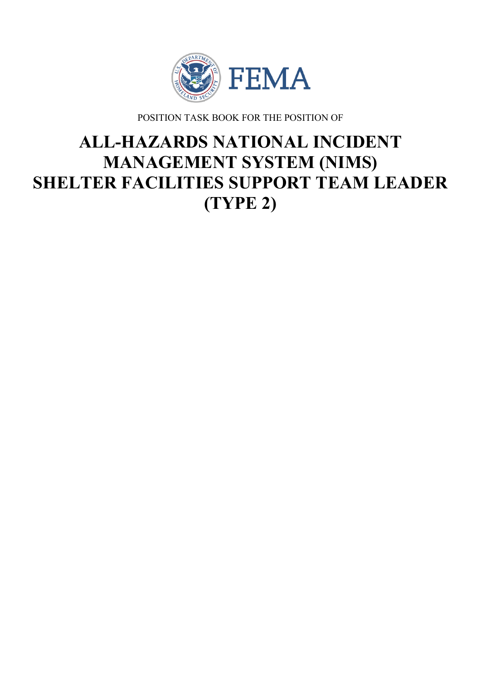

POSITION TASK BOOK FOR THE POSITION OF

# **ALL-HAZARDS NATIONAL INCIDENT MANAGEMENT SYSTEM (NIMS) SHELTER FACILITIES SUPPORT TEAM LEADER (TYPE 2)**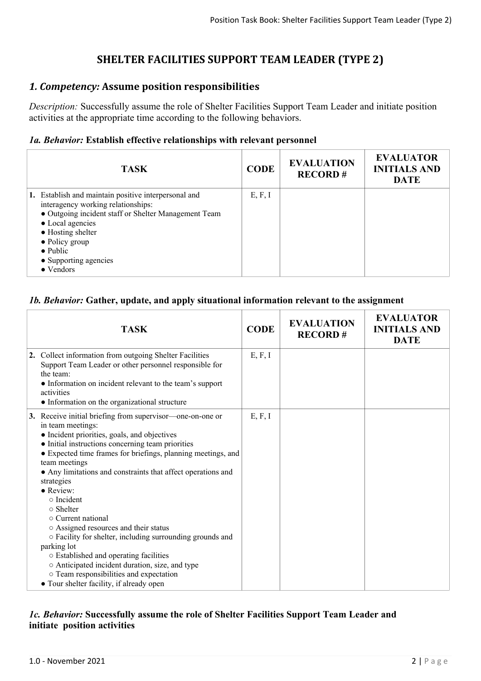# **SHELTER FACILITIES SUPPORT TEAM LEADER (TYPE 2)**

## *1. Competency:* **Assume position responsibilities**

*Description:* Successfully assume the role of Shelter Facilities Support Team Leader and initiate position activities at the appropriate time according to the following behaviors.

#### *1a. Behavior:* **Establish effective relationships with relevant personnel**

| <b>TASK</b>                                                                                                                                                                                                                                                                     | <b>CODE</b> | <b>EVALUATION</b><br><b>RECORD#</b> | <b>EVALUATOR</b><br><b>INITIALS AND</b><br><b>DATE</b> |
|---------------------------------------------------------------------------------------------------------------------------------------------------------------------------------------------------------------------------------------------------------------------------------|-------------|-------------------------------------|--------------------------------------------------------|
| 1. Establish and maintain positive interpersonal and<br>interagency working relationships:<br>• Outgoing incident staff or Shelter Management Team<br>• Local agencies<br>• Hosting shelter<br>$\bullet$ Policy group<br>$\bullet$ Public<br>• Supporting agencies<br>• Vendors | E, F, I     |                                     |                                                        |

#### *1b. Behavior:* **Gather, update, and apply situational information relevant to the assignment**

| <b>TASK</b>                                                                                                                                                                                                                                                                                                                                                                                                                                                                                                                                                                                                                                                                                                                                         | <b>CODE</b> | <b>EVALUATION</b><br><b>RECORD#</b> | <b>EVALUATOR</b><br><b>INITIALS AND</b><br><b>DATE</b> |
|-----------------------------------------------------------------------------------------------------------------------------------------------------------------------------------------------------------------------------------------------------------------------------------------------------------------------------------------------------------------------------------------------------------------------------------------------------------------------------------------------------------------------------------------------------------------------------------------------------------------------------------------------------------------------------------------------------------------------------------------------------|-------------|-------------------------------------|--------------------------------------------------------|
| 2. Collect information from outgoing Shelter Facilities<br>Support Team Leader or other personnel responsible for<br>the team:<br>• Information on incident relevant to the team's support<br>activities<br>• Information on the organizational structure                                                                                                                                                                                                                                                                                                                                                                                                                                                                                           | E, F, I     |                                     |                                                        |
| 3. Receive initial briefing from supervisor—one-on-one or<br>in team meetings:<br>• Incident priorities, goals, and objectives<br>• Initial instructions concerning team priorities<br>• Expected time frames for briefings, planning meetings, and<br>team meetings<br>• Any limitations and constraints that affect operations and<br>strategies<br>$\bullet$ Review:<br>$\circ$ Incident<br>$\circ$ Shelter<br>$\circ$ Current national<br>○ Assigned resources and their status<br>○ Facility for shelter, including surrounding grounds and<br>parking lot<br>○ Established and operating facilities<br>○ Anticipated incident duration, size, and type<br>o Team responsibilities and expectation<br>• Tour shelter facility, if already open | E, F, I     |                                     |                                                        |

#### *1c. Behavior:* **Successfully assume the role of Shelter Facilities Support Team Leader and initiate position activities**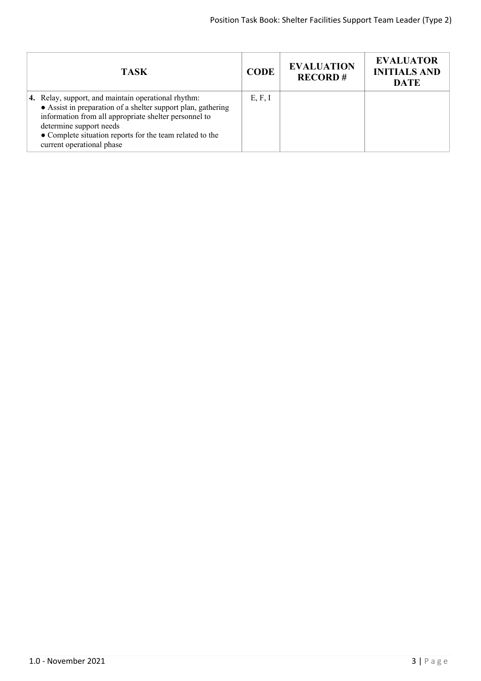| TASK                                                                                                                                                                                                                                                                                             | <b>CODE</b> | <b>EVALUATION</b><br><b>RECORD#</b> | <b>EVALUATOR</b><br><b>INITIALS AND</b><br><b>DATE</b> |
|--------------------------------------------------------------------------------------------------------------------------------------------------------------------------------------------------------------------------------------------------------------------------------------------------|-------------|-------------------------------------|--------------------------------------------------------|
| 4. Relay, support, and maintain operational rhythm:<br>• Assist in preparation of a shelter support plan, gathering<br>information from all appropriate shelter personnel to<br>determine support needs<br>• Complete situation reports for the team related to the<br>current operational phase | E, F, I     |                                     |                                                        |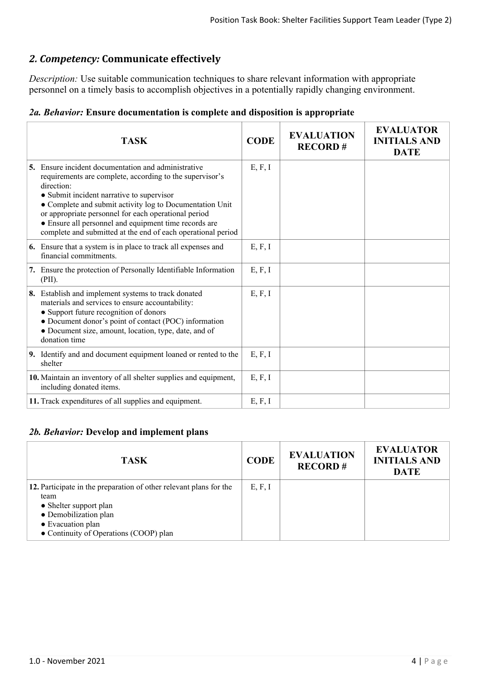# *2. Competency:* **Communicate effectively**

*Description:* Use suitable communication techniques to share relevant information with appropriate personnel on a timely basis to accomplish objectives in a potentially rapidly changing environment.

| 2a. Behavior: Ensure documentation is complete and disposition is appropriate |  |  |  |
|-------------------------------------------------------------------------------|--|--|--|
|-------------------------------------------------------------------------------|--|--|--|

| TASK                                                                                                                                                                                                                                                                                                                                                                                                                           | <b>CODE</b> | <b>EVALUATION</b><br><b>RECORD#</b> | <b>EVALUATOR</b><br><b>INITIALS AND</b><br><b>DATE</b> |
|--------------------------------------------------------------------------------------------------------------------------------------------------------------------------------------------------------------------------------------------------------------------------------------------------------------------------------------------------------------------------------------------------------------------------------|-------------|-------------------------------------|--------------------------------------------------------|
| <b>5.</b> Ensure incident documentation and administrative<br>requirements are complete, according to the supervisor's<br>direction:<br>• Submit incident narrative to supervisor<br>• Complete and submit activity log to Documentation Unit<br>or appropriate personnel for each operational period<br>• Ensure all personnel and equipment time records are<br>complete and submitted at the end of each operational period | E, F, I     |                                     |                                                        |
| 6. Ensure that a system is in place to track all expenses and<br>financial commitments.                                                                                                                                                                                                                                                                                                                                        | E, F, I     |                                     |                                                        |
| 7. Ensure the protection of Personally Identifiable Information<br>(PII).                                                                                                                                                                                                                                                                                                                                                      | E, F, I     |                                     |                                                        |
| 8. Establish and implement systems to track donated<br>materials and services to ensure accountability:<br>• Support future recognition of donors<br>• Document donor's point of contact (POC) information<br>• Document size, amount, location, type, date, and of<br>donation time                                                                                                                                           | E, F, I     |                                     |                                                        |
| 9. Identify and and document equipment loaned or rented to the<br>shelter                                                                                                                                                                                                                                                                                                                                                      | E, F, I     |                                     |                                                        |
| 10. Maintain an inventory of all shelter supplies and equipment,<br>including donated items.                                                                                                                                                                                                                                                                                                                                   | E, F, I     |                                     |                                                        |
| 11. Track expenditures of all supplies and equipment.                                                                                                                                                                                                                                                                                                                                                                          | E, F, I     |                                     |                                                        |

### *2b. Behavior:* **Develop and implement plans**

| <b>TASK</b>                                                                                                                                                                                  | <b>CODE</b> | <b>EVALUATION</b><br><b>RECORD#</b> | <b>EVALUATOR</b><br><b>INITIALS AND</b><br><b>DATE</b> |
|----------------------------------------------------------------------------------------------------------------------------------------------------------------------------------------------|-------------|-------------------------------------|--------------------------------------------------------|
| 12. Participate in the preparation of other relevant plans for the<br>team<br>• Shelter support plan<br>• Demobilization plan<br>• Evacuation plan<br>• Continuity of Operations (COOP) plan | E, F, I     |                                     |                                                        |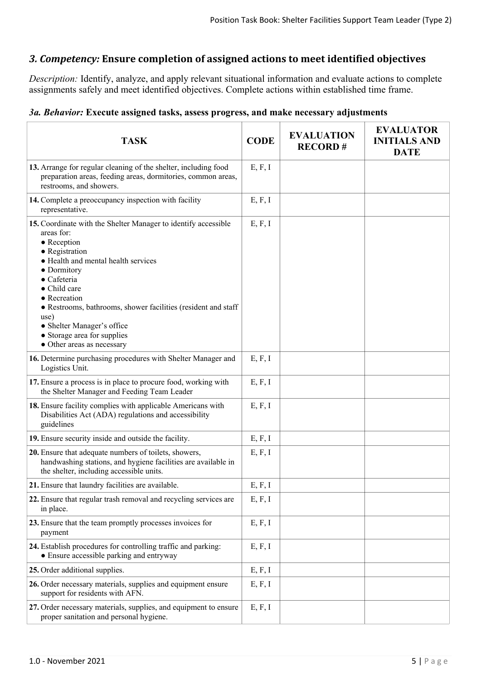## *3. Competency:* **Ensure completion of assigned actions to meet identified objectives**

*Description:* Identify, analyze, and apply relevant situational information and evaluate actions to complete assignments safely and meet identified objectives. Complete actions within established time frame.

## *3a. Behavior:* **Execute assigned tasks, assess progress, and make necessary adjustments**

| <b>TASK</b>                                                                                                                                                                                                                                                                                                                                                                                            | <b>CODE</b> | <b>EVALUATION</b><br><b>RECORD#</b> | <b>EVALUATOR</b><br><b>INITIALS AND</b><br><b>DATE</b> |
|--------------------------------------------------------------------------------------------------------------------------------------------------------------------------------------------------------------------------------------------------------------------------------------------------------------------------------------------------------------------------------------------------------|-------------|-------------------------------------|--------------------------------------------------------|
| 13. Arrange for regular cleaning of the shelter, including food<br>preparation areas, feeding areas, dormitories, common areas,<br>restrooms, and showers.                                                                                                                                                                                                                                             | E, F, I     |                                     |                                                        |
| 14. Complete a preoccupancy inspection with facility<br>representative.                                                                                                                                                                                                                                                                                                                                | E, F, I     |                                     |                                                        |
| 15. Coordinate with the Shelter Manager to identify accessible<br>areas for:<br>$\bullet$ Reception<br>• Registration<br>• Health and mental health services<br>• Dormitory<br>$\bullet$ Cafeteria<br>• Child care<br>• Recreation<br>• Restrooms, bathrooms, shower facilities (resident and staff<br>use)<br>• Shelter Manager's office<br>• Storage area for supplies<br>• Other areas as necessary | E, F, I     |                                     |                                                        |
| 16. Determine purchasing procedures with Shelter Manager and<br>Logistics Unit.                                                                                                                                                                                                                                                                                                                        | E, F, I     |                                     |                                                        |
| 17. Ensure a process is in place to procure food, working with<br>the Shelter Manager and Feeding Team Leader                                                                                                                                                                                                                                                                                          | E, F, I     |                                     |                                                        |
| 18. Ensure facility complies with applicable Americans with<br>Disabilities Act (ADA) regulations and accessibility<br>guidelines                                                                                                                                                                                                                                                                      | E, F, I     |                                     |                                                        |
| 19. Ensure security inside and outside the facility.                                                                                                                                                                                                                                                                                                                                                   | E, F, I     |                                     |                                                        |
| 20. Ensure that adequate numbers of toilets, showers,<br>handwashing stations, and hygiene facilities are available in<br>the shelter, including accessible units.                                                                                                                                                                                                                                     | E, F, I     |                                     |                                                        |
| 21. Ensure that laundry facilities are available.                                                                                                                                                                                                                                                                                                                                                      | E, F, I     |                                     |                                                        |
| 22. Ensure that regular trash removal and recycling services are<br>in place.                                                                                                                                                                                                                                                                                                                          | E, F, I     |                                     |                                                        |
| 23. Ensure that the team promptly processes invoices for<br>payment                                                                                                                                                                                                                                                                                                                                    | E, F, I     |                                     |                                                        |
| 24. Establish procedures for controlling traffic and parking:<br>• Ensure accessible parking and entryway                                                                                                                                                                                                                                                                                              | E, F, I     |                                     |                                                        |
| 25. Order additional supplies.                                                                                                                                                                                                                                                                                                                                                                         | E, F, I     |                                     |                                                        |
| 26. Order necessary materials, supplies and equipment ensure<br>support for residents with AFN.                                                                                                                                                                                                                                                                                                        | E, F, I     |                                     |                                                        |
| 27. Order necessary materials, supplies, and equipment to ensure<br>proper sanitation and personal hygiene.                                                                                                                                                                                                                                                                                            | E, F, I     |                                     |                                                        |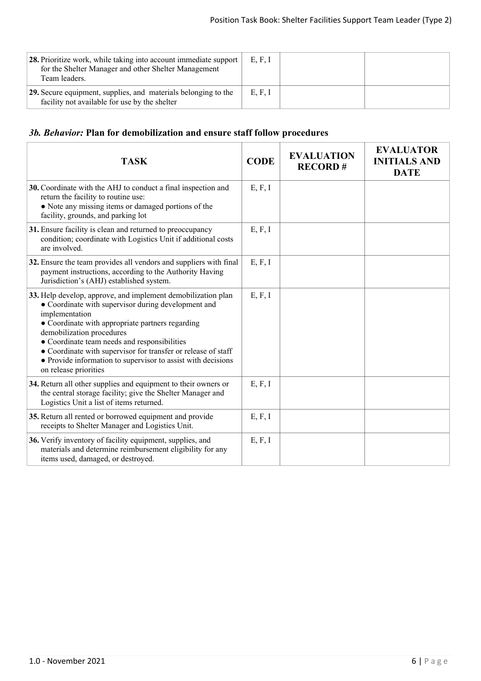| 28. Prioritize work, while taking into account immediate support<br>for the Shelter Manager and other Shelter Management<br>Team leaders. | E, F, I |  |
|-------------------------------------------------------------------------------------------------------------------------------------------|---------|--|
| 29. Secure equipment, supplies, and materials belonging to the<br>facility not available for use by the shelter                           | E, F, I |  |

# *3b. Behavior:* **Plan for demobilization and ensure staff follow procedures**

| <b>TASK</b>                                                                                                                                                                                                                                                                                                                                                                                                                      | <b>CODE</b> | <b>EVALUATION</b><br><b>RECORD#</b> | <b>EVALUATOR</b><br><b>INITIALS AND</b><br><b>DATE</b> |
|----------------------------------------------------------------------------------------------------------------------------------------------------------------------------------------------------------------------------------------------------------------------------------------------------------------------------------------------------------------------------------------------------------------------------------|-------------|-------------------------------------|--------------------------------------------------------|
| 30. Coordinate with the AHJ to conduct a final inspection and<br>return the facility to routine use:<br>• Note any missing items or damaged portions of the<br>facility, grounds, and parking lot                                                                                                                                                                                                                                | E, F, I     |                                     |                                                        |
| 31. Ensure facility is clean and returned to preoccupancy<br>condition; coordinate with Logistics Unit if additional costs<br>are involved.                                                                                                                                                                                                                                                                                      | E, F, I     |                                     |                                                        |
| 32. Ensure the team provides all vendors and suppliers with final<br>payment instructions, according to the Authority Having<br>Jurisdiction's (AHJ) established system.                                                                                                                                                                                                                                                         | E, F, I     |                                     |                                                        |
| 33. Help develop, approve, and implement demobilization plan<br>• Coordinate with supervisor during development and<br>implementation<br>• Coordinate with appropriate partners regarding<br>demobilization procedures<br>• Coordinate team needs and responsibilities<br>• Coordinate with supervisor for transfer or release of staff<br>• Provide information to supervisor to assist with decisions<br>on release priorities | E, F, I     |                                     |                                                        |
| 34. Return all other supplies and equipment to their owners or<br>the central storage facility; give the Shelter Manager and<br>Logistics Unit a list of items returned.                                                                                                                                                                                                                                                         | E, F, I     |                                     |                                                        |
| 35. Return all rented or borrowed equipment and provide<br>receipts to Shelter Manager and Logistics Unit.                                                                                                                                                                                                                                                                                                                       | E, F, I     |                                     |                                                        |
| 36. Verify inventory of facility equipment, supplies, and<br>materials and determine reimbursement eligibility for any<br>items used, damaged, or destroyed.                                                                                                                                                                                                                                                                     | E, F, I     |                                     |                                                        |